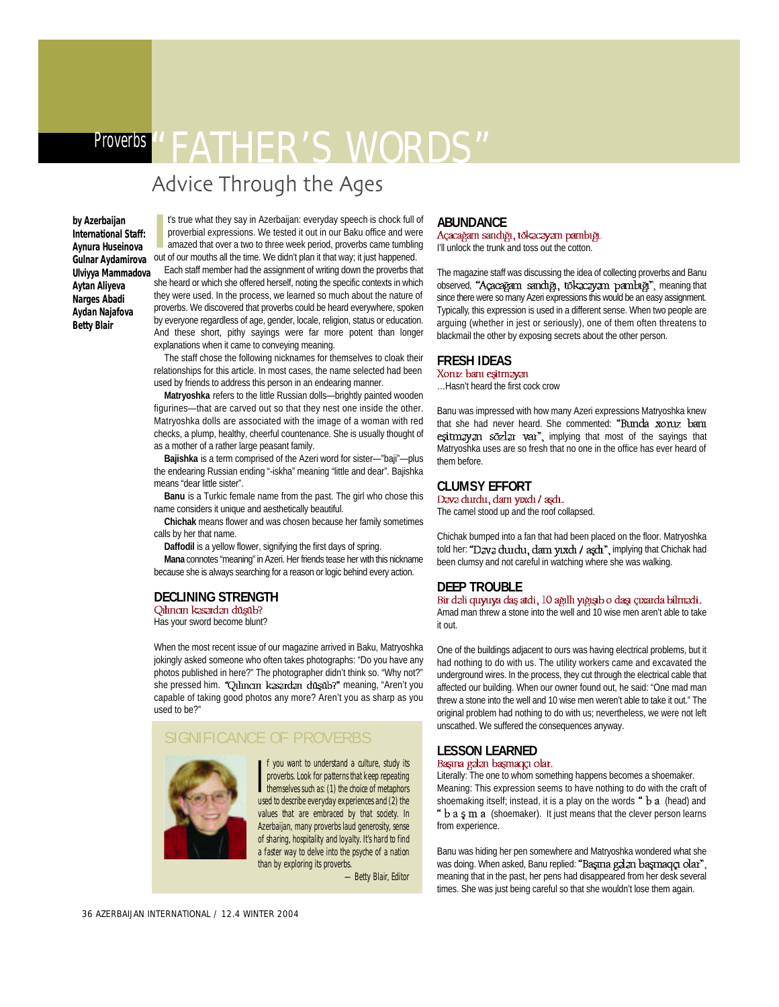# Proverbs "FATHER'S WORDS"

# Advice Through the Ages

**by Azerbaijan International Staff: Aynura Huseinova Ulviyya Mammadova Aytan Aliyeva Narges Abadi Aydan Najafova Betty Blair**

**IVENTUATE:** International Staff: International Staff: International Staff: International Staff: International expressions. We tested it out in our Baku office and we a two to three week period, proverbs came tumbling Guln t's true what they say in Azerbaijan: everyday speech is chock full of proverbial expressions. We tested it out in our Baku office and were amazed that over a two to three week period, proverbs came tumbling Each staff member had the assignment of writing down the proverbs that

she heard or which she offered herself, noting the specific contexts in which they were used. In the process, we learned so much about the nature of proverbs. We discovered that proverbs could be heard everywhere, spoken by everyone regardless of age, gender, locale, religion, status or education. And these short, pithy sayings were far more potent than longer explanations when it came to conveying meaning.

The staff chose the following nicknames for themselves to cloak their relationships for this article. In most cases, the name selected had been used by friends to address this person in an endearing manner.

Matryoshka refers to the little Russian dolls-brightly painted wooden figurines—that are carved out so that they nest one inside the other. Matryoshka dolls are associated with the image of a woman with red checks, a plump, healthy, cheerful countenance. She is usually thought of as a mother of a rather large peasant family.

**Bajishka** is a term comprised of the Azeri word for sister-"baji"--plus the endearing Russian ending "-iskha" meaning "little and dear". Bajishka means "dear little sister".

**Banu** is a Turkic female name from the past. The girl who chose this name considers it unique and aesthetically beautiful.

**Chichak** means flower and was chosen because her family sometimes calls by her that name.

**Daffodil** is a yellow flower, signifying the first days of spring.

Mana connotes "meaning" in Azeri. Her friends tease her with this nickname because she is always searching for a reason or logic behind every action.

### **DECLINING STRENGTH**<br>
Qılıncın kəsərdən düşüb?

Has your sword become blunt?

When the most recent issue of our magazine arrived in Baku, Matryoshka jokingly asked someone who often takes photographs: "Do you have any photos published in here?" The photographer didn't think so. "Why not?" she pressed him. "Qılıncın kasardan düşüb?" meaning, "Aren't you capable of taking good photos any more? Aren't you as sharp as you used to be?"

#### SIGNIFICANCE OF PROVERBS



If you want to understand a culture, study its<br>proverbs. Look for patterns that keep repeating<br>themselves such as: (1) the choice of metaphors<br>used to describe outliers f you want to understand a culture, study its proverbs. Look for patterns that keep repeating used to describe everyday experiences and (2) the values that are embraced by that society. In Azerbaijan, many proverbs laud generosity, sense of sharing, hospitality and loyalty. It's hard to find a faster way to delve into the psyche of a nation than by exploring its proverbs.

—Betty Blair, Editor

**ABUNDANCE**<br>Açacağam sandığı, tökacayam pambığı. I'll unlock the trunk and toss out the cotton.

The magazine staff was discussing the idea of collecting proverbs and Banu observed, "Açacağam sandığı, tökzczyzm pambığı", meaning that since there were so many Azeri expressions this would be an easy assignment. Typically, this expression is used in a different sense. When two people are arguing (whether in jest or seriously), one of them often threatens to blackmail the other by exposing secrets about the other person.

#### **FRESH IDEAS**

…Hasn't heard the first cock crow

Banu was impressed with how many Azeri expressions Matryoshka knew that she had never heard. She commented: "Bunda xoruz bann esitmay an sozlar var<sup>n</sup>, implying that most of the sayings that Matryoshka uses are so fresh that no one in the office has ever heard of them before.

#### **CLUMSY EFFORT**<br>Dava durdu, dam yıxdı / aşdı.

The camel stood up and the roof collapsed.

Chichak bumped into a fan that had been placed on the floor. Matryoshka told her: "Dava durdu, dam yixdi / aşdı", implying that Chichak had been clumsy and not careful in watching where she was walking.

**DEEP TROUBLE** Amad man threw a stone into the well and 10 wise men aren't able to take it out.

One of the buildings adjacent to ours was having electrical problems, but it had nothing to do with us. The utility workers came and excavated the underground wires. In the process, they cut through the electrical cable that affected our building. When our owner found out, he said: "One mad man threw a stone into the well and 10 wise men weren't able to take it out." The original problem had nothing to do with us; nevertheless, we were not left unscathed. We suffered the consequences anyway.

### **LESSON LEARNED**<br>Başma gələn başmaqçı olar.

Literally: The one to whom something happens becomes a shoemaker. Meaning: This expression seems to have nothing to do with the craft of shoemaking itself; instead, it is a play on the words  $a$  b a (head) and  $b$  **b** a  $\varsigma$  m a (shoemaker). It just means that the clever person learns from experience.

Banu was hiding her pen somewhere and Matryoshka wondered what she was doing. When asked, Banu replied: "Bagma galan bagmaqqı olar", meaning that in the past, her pens had disappeared from her desk several times. She was just being careful so that she wouldn't lose them again.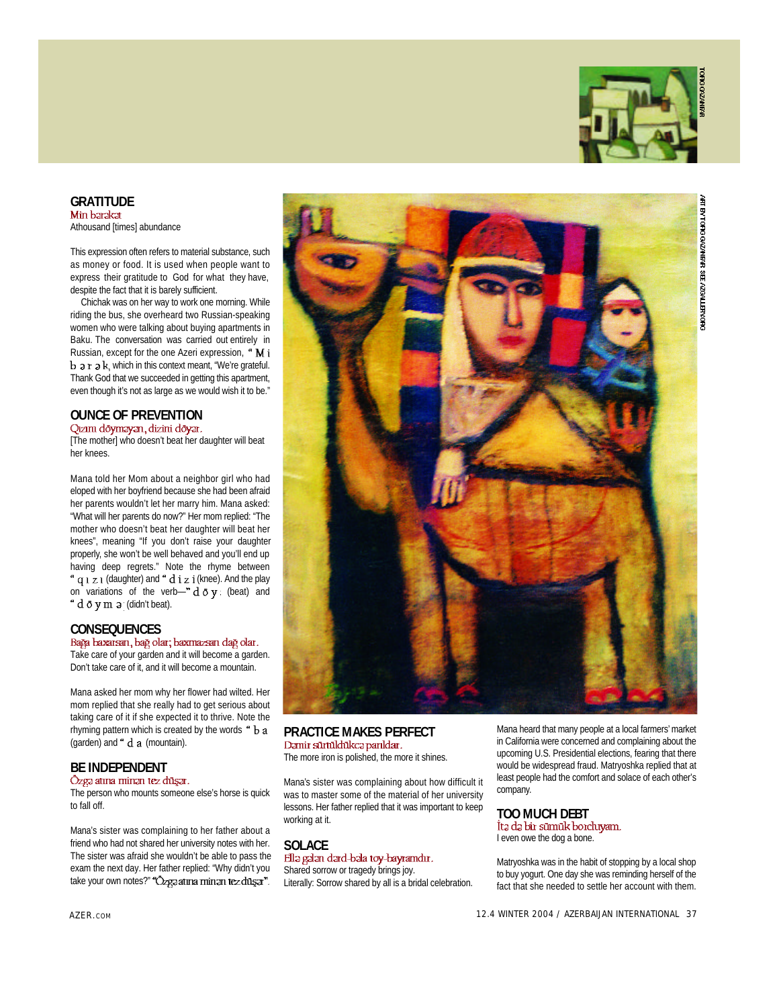

**GRATITUDE**<br>Min barakat

Athousand [times] abundance

This expression often refers to material substance, such as money or food. It is used when people want to express their gratitude to God for what they have, despite the fact that it is barely sufficient.

Chichak was on her way to work one morning. While riding the bus, she overheard two Russian-speaking women who were talking about buying apartments in Baku. The conversation was carried out entirely in Russian, except for the one Azeri expression, "Mi  $\mathbf b$  a  $\mathbf r$  a  $\mathbf k$ , which in this context meant, "We're grateful. Thank God that we succeeded in getting this apartment, even though it's not as large as we would wish it to be."

# **OUNCE OF PREVENTION**<br>Qızım döyməyən, dizini döyər.

[The mother] who doesn't beat her daughter will beat her knees.

Mana told her Mom about a neighbor girl who had eloped with her boyfriend because she had been afraid her parents wouldn't let her marry him. Mana asked: "What will her parents do now?" Her mom replied: "The mother who doesn't beat her daughter will beat her knees", meaning "If you don't raise your daughter properly, she won't be well behaved and you'll end up having deep regrets." Note the rhyme between " q 1 z 1 (daughter) and " d i z i (knee). And the play on variations of the verb-"  $d \, \bar{o} \, y$  (beat) and " d o y m a (didn't beat).

**CONSEQUENCES**<br>Bağa baxarsan, bağ olar; baxmazsan dağ olar. Take care of your garden and it will become a garden.

Don't take care of it, and it will become a mountain.

Mana asked her mom why her flower had wilted. Her mom replied that she really had to get serious about taking care of it if she expected it to thrive. Note the rhyming pattern which is created by the words " b a (garden) and  $\degree$  d a (mountain).

# **BE INDEPENDENT**<br> **Ozga atına minan tez düşar.**

The person who mounts someone else's horse is quick to fall off.

Mana's sister was complaining to her father about a friend who had not shared her university notes with her. The sister was afraid she wouldn't be able to pass the exam the next day. Her father replied: "Why didn't you take your own notes?" "Ozga atına minan tez düşar".



#### **PRACTICE MAKES PERFECT**<br>Damir sürtüldükca parıldar.

The more iron is polished, the more it shines.

Mana's sister was complaining about how difficult it was to master some of the material of her university lessons. Her father replied that it was important to keep working at it.

#### **SOLACE**<br>Ella galan dard-bala toy-bayramdır. Shared sorrow or tragedy brings joy.

Literally: Sorrow shared by all is a bridal celebration.

Mana heard that many people at a local farmers' market in California were concerned and complaining about the upcoming U.S. Presidential elections, fearing that there would be widespread fraud. Matryoshka replied that at least people had the comfort and solace of each other's company.

# **TOO MUCH DEBT**

I even owe the dog a bone.

Matryoshka was in the habit of stopping by a local shop to buy yogurt. One day she was reminding herself of the fact that she needed to settle her account with them.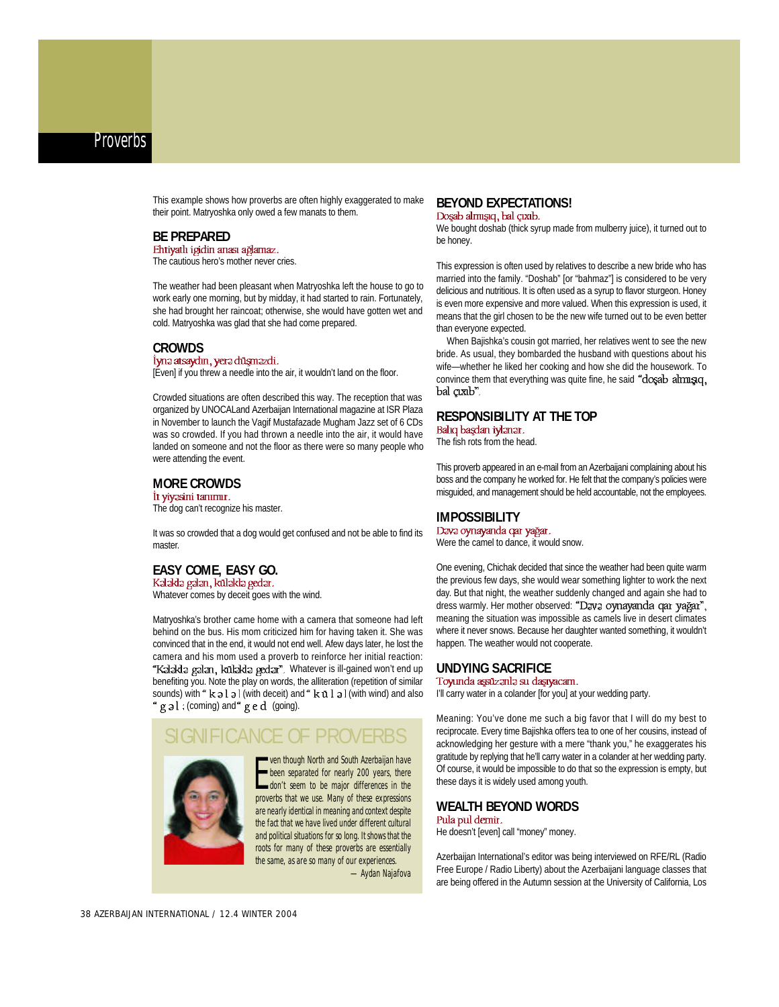This example shows how proverbs are often highly exaggerated to make their point. Matryoshka only owed a few manats to them.

**BE PREPARED**<br>Ehtiyatlı igidin anası ağlamaz.

The cautious hero's mother never cries.

The weather had been pleasant when Matryoshka left the house to go to work early one morning, but by midday, it had started to rain. Fortunately, she had brought her raincoat; otherwise, she would have gotten wet and cold. Matryoshka was glad that she had come prepared.

**CROWDS**<br>İynə atsaydın, yerə düşməzdi. [Even] if you threw a needle into the air, it wouldn't land on the floor.

Crowded situations are often described this way. The reception that was organized by UNOCALand Azerbaijan International magazine at ISR Plaza in November to launch the Vagif Mustafazade Mugham Jazz set of 6 CDs was so crowded. If you had thrown a needle into the air, it would have landed on someone and not the floor as there were so many people who were attending the event.

### **MORE CROWDS**

The dog can't recognize his master.

It was so crowded that a dog would get confused and not be able to find its master.

### **EASY COME, EASY GO.**

Whatever comes by deceit goes with the wind.

Matryoshka's brother came home with a camera that someone had left behind on the bus. His mom criticized him for having taken it. She was convinced that in the end, it would not end well. Afew days later, he lost the camera and his mom used a proverb to reinforce her initial reaction: "Kalakla galan, kulakla gedar". Whatever is ill-gained won't end up benefiting you. Note the play on words, the alliteration (repetition of similar sounds) with " $k$  a  $l$  a  $l$  (with deceit) and " $k$   $u$   $l$  a  $l$  (with wind) and also  $g \triangleleft 1$ : (coming) and  $g \triangleleft g$  (going).

#### **NIFICANCE OF PROVERBS**



From though North and South Azerbaijan have<br>
From separated for nearly 200 years, there<br>
don't seem to be major differences in the<br>
proverbs that we use. Many of these expressions ven though North and South Azerbaijan have been separated for nearly 200 years, there don't seem to be major differences in the are nearly identical in meaning and context despite the fact that we have lived under different cultural and political situations for so long. It shows that the roots for many of these proverbs are essentially the same, as are so many of our experiences. — Aydan Najafova

# **BEYOND EXPECTATIONS!**<br>Doşab almışıq, bal çıxıb.

We bought doshab (thick syrup made from mulberry juice), it turned out to be honey.

This expression is often used by relatives to describe a new bride who has married into the family. "Doshab" [or "bahmaz"] is considered to be very delicious and nutritious. It is often used as a syrup to flavor sturgeon. Honey is even more expensive and more valued. When this expression is used, it means that the girl chosen to be the new wife turned out to be even better than everyone expected.

When Bajishka's cousin got married, her relatives went to see the new bride. As usual, they bombarded the husband with questions about his wife—whether he liked her cooking and how she did the housework. To convince them that everything was quite fine, he said "dosab almusq, bal çıxıb".

#### **RESPONSIBILITY AT THE TOP**

The fish rots from the head.

This proverb appeared in an e-mail from an Azerbaijani complaining about his boss and the company he worked for. He felt that the company's policies were misguided, and management should be held accountable, not the employees.

#### **IMPOSSIBILITY**<br>Dəvə oynayanda qar yağar.

Were the camel to dance, it would snow.

One evening, Chichak decided that since the weather had been quite warm the previous few days, she would wear something lighter to work the next day. But that night, the weather suddenly changed and again she had to dress warmly. Her mother observed: "Dava oynayanda qar yağar", meaning the situation was impossible as camels live in desert climates where it never snows. Because her daughter wanted something, it wouldn't happen. The weather would not cooperate.

### **UNDYING SACRIFICE**

I'll carry water in a colander [for you] at your wedding party.

Meaning: You've done me such a big favor that I will do my best to reciprocate. Every time Bajishka offers tea to one of her cousins, instead of acknowledging her gesture with a mere "thank you," he exaggerates his gratitude by replying that he'll carry water in a colander at her wedding party. Of course, it would be impossible to do that so the expression is empty, but these days it is widely used among youth.

#### **WEALTH BEYOND WORDS**<br>Pula pul demir.

He doesn't [even] call "money" money.

Azerbaijan International's editor was being interviewed on RFE/RL (Radio Free Europe / Radio Liberty) about the Azerbaijani language classes that are being offered in the Autumn session at the University of California, Los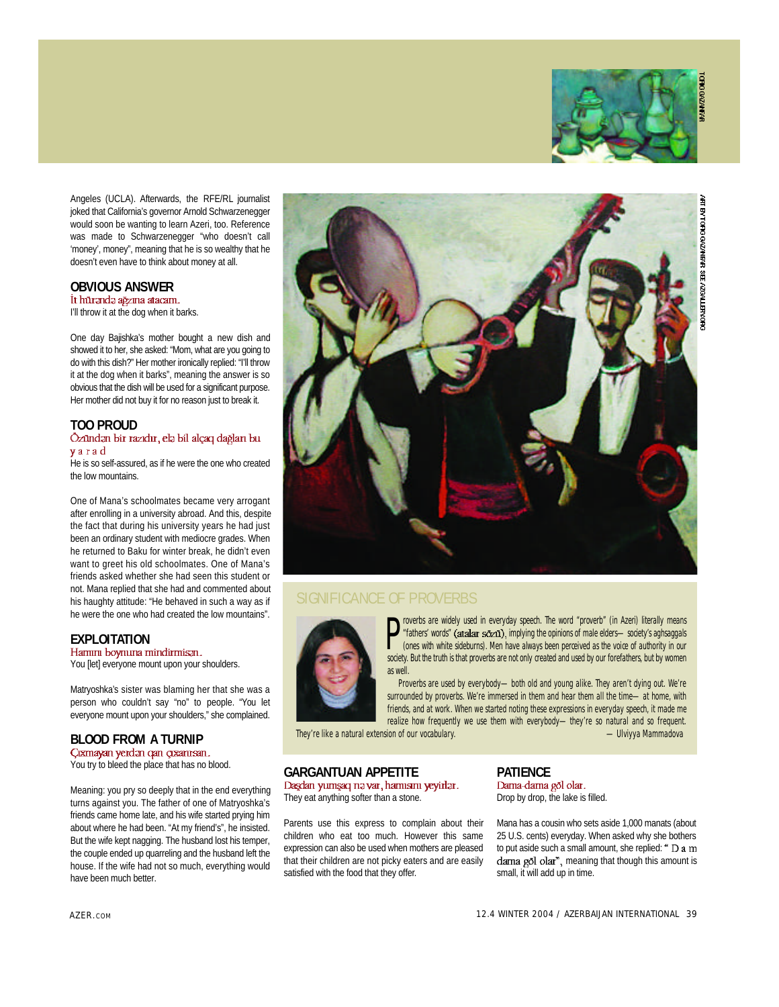

Angeles (UCLA). Afterwards, the RFF/RL journalist joked that California's governor Arnold Schwarzenegger would soon be wanting to learn Azeri, too. Reference was made to Schwarzenegger "who doesn't call 'money', money", meaning that he is so wealthy that he doesn't even have to think about money at all.

### **OBVIOUS ANSWER**

I'll throw it at the dog when it barks.

One day Bajishka's mother bought a new dish and showed it to her, she asked: "Mom, what are you going to do with this dish?" Her mother ironically replied: "I'll throw it at the dog when it barks", meaning the answer is so obvious that the dish will be used for a significant purpose. Her mother did not buy it for no reason just to break it.

#### **TOO PROUD** yarad

He is so self-assured, as if he were the one who created the low mountains.

One of Mana's schoolmates became very arrogant after enrolling in a university abroad. And this, despite the fact that during his university years he had just been an ordinary student with mediocre grades. When he returned to Baku for winter break, he didn't even want to greet his old schoolmates. One of Mana's friends asked whether she had seen this student or not. Mana replied that she had and commented about his haughty attitude: "He behaved in such a way as if he were the one who had created the low mountains".

**EXPLOITATION**<br>Hamm boynuna mindirmisan. You [let] everyone mount upon your shoulders.

Matryoshka's sister was blaming her that she was a person who couldn't say "no" to people. "You let

everyone mount upon your shoulders," she complained.

**BLOOD FROM A TURNIP** You try to bleed the place that has no blood.

Meaning: you pry so deeply that in the end everything turns against you. The father of one of Matryoshka's friends came home late, and his wife started prying him about where he had been. "At my friend's", he insisted. But the wife kept nagging. The husband lost his temper, the couple ended up quarreling and the husband left the house. If the wife had not so much, everything would have been much better.



#### SIGNIFICANCE OF PROVERBS



**P** overbs are widely used in everyday speech. The word "proverb" (in Azeri) literally means<br>
"fathers' words" (atalar  $s\bar{c}_{\text{Z}}$ , implying the opinions of male elders—society's aghsaggals<br>
(ones with white sideburns). roverbs are widely used in everyday speech. The word "proverb" (in Azeri) literally means "fathers' words" (atalar sozu), implying the opinions of male elders—society's aghsaggals (ones with white sideburns). Men have always been perceived as the voice of authority in our as well.

Proverbs are used by everybody--- both old and young alike. They aren't dying out. We're surrounded by proverbs. We're immersed in them and hear them all the time—at home, with friends, and at work. When we started noting these expressions in everyday speech, it made me realize how frequently we use them with everybody-they're so natural and so frequent.<br>ion of our vocabulary.  $\qquad$  ...

They're like a natural extension of our vocabulary.

**GARGANTUAN APPETITE**<br>Daşdan yumşaq nə var, hamısını yeyirlər. They eat anything softer than a stone.

Parents use this express to complain about their children who eat too much. However this same expression can also be used when mothers are pleased that their children are not picky eaters and are easily satisfied with the food that they offer.

# **PATIENCE**<br>Dama-dama gōl olar.

Drop by drop, the lake is filled.

Mana has a cousin who sets aside 1,000 manats (about 25 U.S. cents) everyday. When asked why she bothers to put aside such a small amount, she replied: " D a m dama gol olar", meaning that though this amount is small, it will add up in time.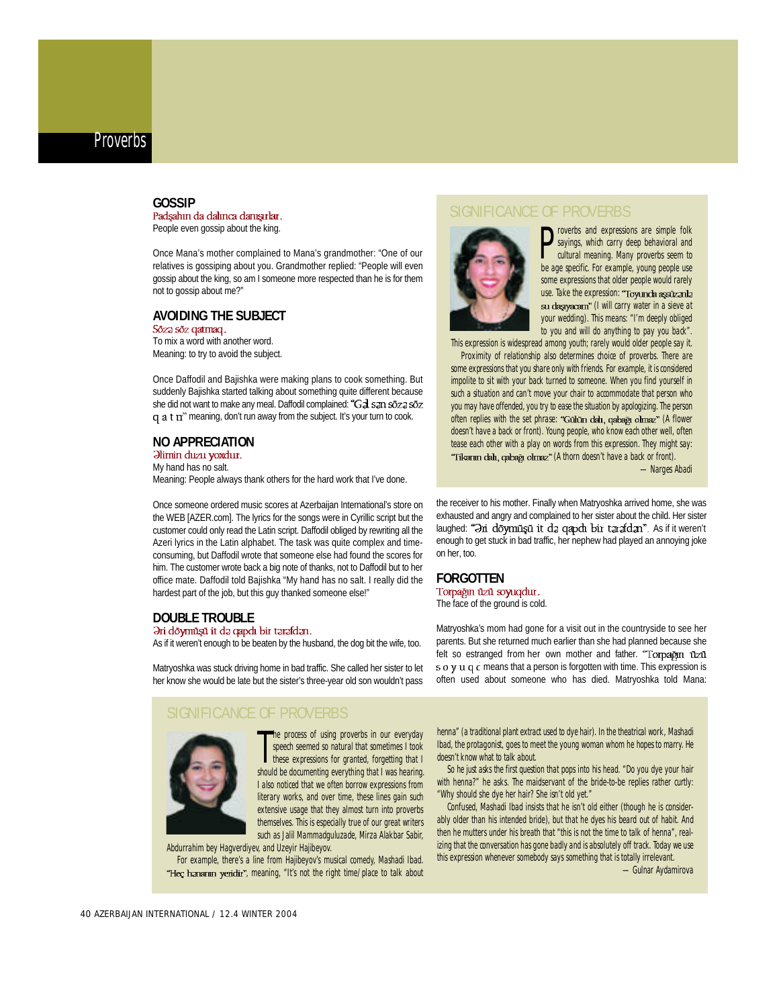# **GOSSIP**<br>Padşahın da dalınca danışırlar.

People even gossip about the king.

Once Mana's mother complained to Mana's grandmother: "One of our relatives is gossiping about you. Grandmother replied: "People will even gossip about the king, so am I someone more respected than he is for them not to gossip about me?"

### **AVOIDING THE SUBJECT**<br>Soza soz qatmaq.

To mix a word with another word. Meaning: to try to avoid the subject.

Once Daffodil and Bajishka were making plans to cook something. But suddenly Bajishka started talking about something quite different because she did not want to make any meal. Daffodil complained: "Gal san soza soz  $q$  a t  $n$ " meaning, don't run away from the subject. It's your turn to cook.

# **NO APPRECIATION**<br>*Himin duzu yoxdur.*

My hand has no salt. Meaning: People always thank others for the hard work that I've done.

Once someone ordered music scores at Azerbaijan International's store on the WEB [AZER.com]. The lyrics for the songs were in Cyrillic script but the customer could only read the Latin script. Daffodil obliged by rewriting all the Azeri lyrics in the Latin alphabet. The task was quite complex and timeconsuming, but Daffodil wrote that someone else had found the scores for him. The customer wrote back a big note of thanks, not to Daffodil but to her office mate. Daffodil told Bajishka "My hand has no salt. I really did the hardest part of the job, but this guy thanked someone else!"

#### **DOUBLE TROUBLE**<br>Əri döymüşü it də qapdı bir tərəfdən.

As if it weren't enough to be beaten by the husband, the dog bit the wife, too.

Matryoshka was stuck driving home in bad traffic. She called her sister to let her know she would be late but the sister's three-year old son wouldn't pass

#### SIGNIFICANCE OF PROVERBS



The process of using proverbs in our everyday<br>speech seemed so natural that sometimes I took<br>these expressions for granted, forgetting that I<br>should be documenting everything that I was hearing. he process of using proverbs in our everyday speech seemed so natural that sometimes I took these expressions for granted, forgetting that I I also noticed that we often borrow expressions from literary works, and over time, these lines gain such extensive usage that they almost turn into proverbs themselves. This is especially true of our great writers such as Jalil Mammadguluzade, Mirza Alakbar Sabir,

Abdurrahim bey Hagverdiyev, and Uzeyir Hajibeyov.

For example, there's a line from Hajibeyov's musical comedy, Mashadi Ibad. "Hec hananin yeridin", meaning, "It's not the right time/place to talk about

#### SIGNIFICANCE OF PROVERBS



**D** roverbs and expressions are simple folk<br>sayings, which carry deep behavioral and<br>cultural meaning. Many proverbs seem to<br>be age specific. For example, young people use roverbs and expressions are simple folk sayings, which carry deep behavioral and cultural meaning. Many proverbs seem to some expressions that older people would rarely use. Take the expression: "Toyunda aşsüzanla su dagyacam" (I will carry water in a sieve at your wedding). This means: "I'm deeply obliged to you and will do anything to pay you back".

This expression is widespread among youth; rarely would older people say it.

Proximity of relationship also determines choice of proverbs. There are some expressions that you share only with friends. For example, it is considered impolite to sit with your back turned to someone. When you find yourself in such a situation and can't move your chair to accommodate that person who you may have offended, you try to ease the situation by apologizing. The person often replies with the set phrase: "Gūlūn dalı, qabağı olmaz" (A flower doesn't have a back or front). Young people, who know each other well, often tease each other with a play on words from this expression. They might say: "Tikanın dalı, qabağı olmaz" (A thorn doesn't have a back or front).

-Narges Abadi

the receiver to his mother. Finally when Matryoshka arrived home, she was exhausted and angry and complained to her sister about the child. Her sister laughed: "In doymuşu it da qapdı bir tarafdan". As if it weren't enough to get stuck in bad traffic, her nephew had played an annoying joke on her, too.

# **FORGOTTEN**<br>Torpağın üzü soyuqdur.

The face of the ground is cold.

Matryoshka's mom had gone for a visit out in the countryside to see her parents. But she returned much earlier than she had planned because she felt so estranged from her own mother and father. "Torpağın uzu s  $\sigma$  y  $\mu$   $\sigma$  c means that a person is forgotten with time. This expression is often used about someone who has died. Matryoshka told Mana:

henna" (a traditional plant extract used to dye hair). In the theatrical work, Mashadi Ibad, the protagonist, goes to meet the young woman whom he hopes to marry. He doesn't know what to talk about.

So he just asks the first question that pops into his head. "Do you dye your hair with henna?" he asks. The maidservant of the bride-to-be replies rather curtly: "Why should she dye her hair? She isn't old yet."

Confused, Mashadi Ibad insists that he isn't old either (though he is considerably older than his intended bride), but that he dyes his beard out of habit. And then he mutters under his breath that "this is not the time to talk of henna", realizing that the conversation has gone badly and is absolutely off track. Today we use this expression whenever somebody says something that is totally irrelevant.

-Gulnar Aydamirova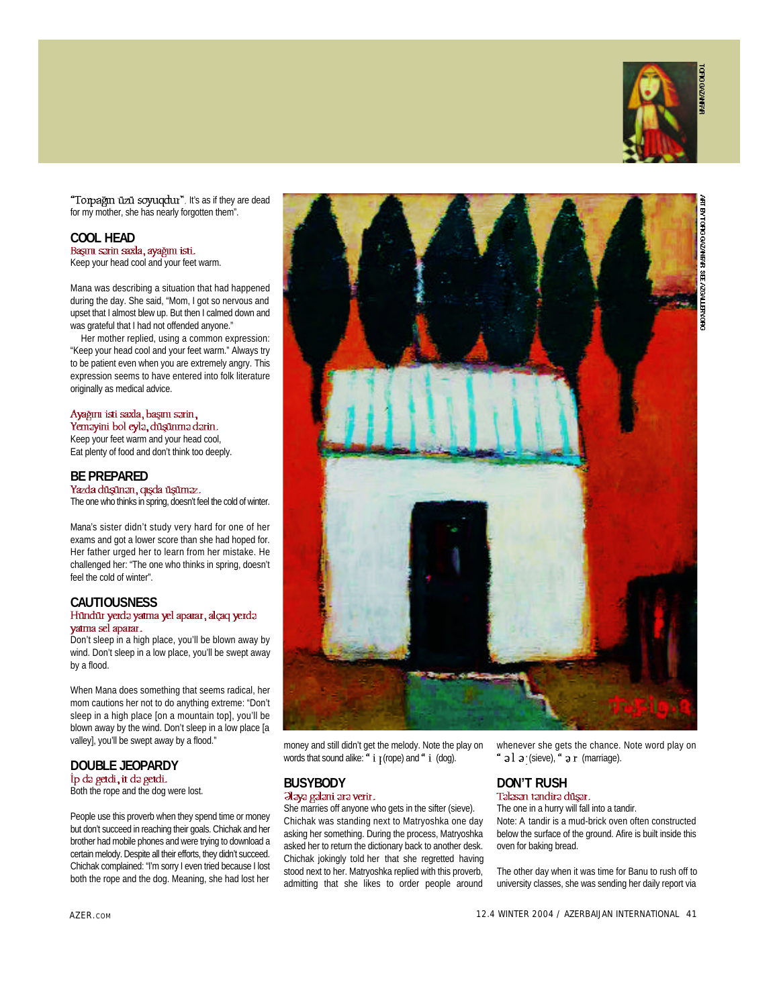

"Torpağın üzü soyuqdur". It's as if they are dead for my mother, she has nearly forgotten them".

# **COOL HEAD**<br>**Başını sərin saxla, ayağını isti.**

Keep your head cool and your feet warm.

Mana was describing a situation that had happened during the day. She said, "Mom, I got so nervous and upset that I almost blew up. But then I calmed down and was grateful that I had not offended anyone."

Her mother replied, using a common expression: "Keep your head cool and your feet warm." Always try to be patient even when you are extremely angry. This expression seems to have entered into folk literature originally as medical advice.

#### Ayağını isti saxla, başını sarin, Yemayini bol eyla, duşunma darin.

Keep your feet warm and your head cool, Eat plenty of food and don't think too deeply.

**BE PREPARED**<br>Yazda düşünən, qışda üşüməz. The one who thinks in spring, doesn't feel the cold of winter.

Mana's sister didn't study very hard for one of her exams and got a lower score than she had hoped for. Her father urged her to learn from her mistake. He challenged her: "The one who thinks in spring, doesn't feel the cold of winter".

# **CAUTIOUSNESS**<br>Hündür yerdə yatma yel aparar, alçaq yerdə

### yatma sel aparar.

Don't sleep in a high place, you'll be blown away by wind. Don't sleep in a low place, you'll be swept away by a flood.

When Mana does something that seems radical, her mom cautions her not to do anything extreme: "Don't sleep in a high place [on a mountain top], you'll be blown away by the wind. Don't sleep in a low place [a valley], you'll be swept away by a flood."

### **DOUBLE JEOPARDY**<br>Ip da getdi, it da getdi.

Both the rope and the dog were lost.

People use this proverb when they spend time or money but don't succeed in reaching their goals. Chichak and her brother had mobile phones and were trying to download a certain melody. Despite all their efforts, they didn't succeed. Chichak complained: "I'm sorry I even tried because I lost both the rope and the dog. Meaning, she had lost her



money and still didn't get the melody. Note the play on words that sound alike:  $a$  i  $\mu$  (rope) and  $a$  i (dog).

# **BUSYBODY**<br> **Dlaya galani ara verir.**

She marries off anyone who gets in the sifter (sieve). Chichak was standing next to Matryoshka one day asking her something. During the process, Matryoshka asked her to return the dictionary back to another desk. Chichak jokingly told her that she regretted having stood next to her. Matryoshka replied with this proverb, admitting that she likes to order people around

whenever she gets the chance. Note word play on (sieve),  $\degree$  a r (marriage).

# **DON'T RUSH**<br>Talasan tandira düsar.

The one in a hurry will fall into a tandir. Note: A tandir is a mud-brick oven often constructed below the surface of the ground. Afire is built inside this oven for baking bread.

The other day when it was time for Banu to rush off to university classes, she was sending her daily report via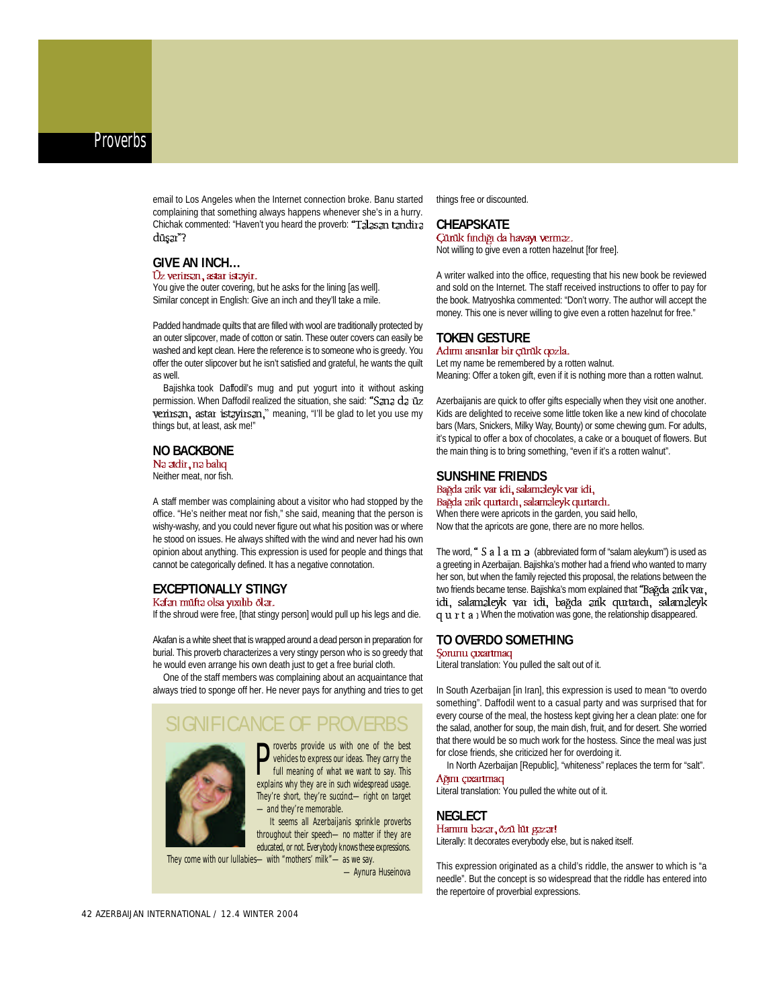email to Los Angeles when the Internet connection broke. Banu started complaining that something always happens whenever she's in a hurry. Chichak commented: "Haven't you heard the proverb: "Talasan tandina duşar?

#### **GIVE AN INCH...**<br>Ūz verirsan, astar istavir.

You give the outer covering, but he asks for the lining [as well]. Similar concept in English: Give an inch and they'll take a mile.

Padded handmade quilts that are filled with wool are traditionally protected by an outer slipcover, made of cotton or satin. These outer covers can easily be washed and kept clean. Here the reference is to someone who is greedy. You offer the outer slipcover but he isn't satisfied and grateful, he wants the quilt as well.

Bajishka took Daffodil's mug and put yogurt into it without asking permission. When Daffodil realized the situation, she said: "Sana da uz verirsan, astar istayirsan," meaning, "I'll be glad to let you use my things but, at least, ask me!"

### **NO BACKBONE**

Neither meat, nor fish.

A staff member was complaining about a visitor who had stopped by the office. "He's neither meat nor fish," she said, meaning that the person is wishy-washy, and you could never figure out what his position was or where he stood on issues. He always shifted with the wind and never had his own opinion about anything. This expression is used for people and things that cannot be categorically defined. It has a negative connotation.

### **EXCEPTIONALLY STINGY**<br>Kafan müfta olsa yıxılıb ölar.

If the shroud were free, [that stingy person] would pull up his legs and die.

Akafan is a white sheet that is wrapped around a dead person in preparation for burial. This proverb characterizes a very stingy person who is so greedy that he would even arrange his own death just to get a free burial cloth.

One of the staff members was complaining about an acquaintance that always tried to sponge off her. He never pays for anything and tries to get

#### SIGNIFICANCE OF PROVERBS

**P** roverbs provide us with one of the best vehicles to express our ideas. They carry the full meaning of what we want to say. This explains why they are in such widespread usage. roverbs provide us with one of the best vehicles to express our ideas. They carry the full meaning of what we want to say. This They're short, they're succinct-right on target —and they're memorable.

It seems all Azerbaijanis sprinkle proverbs throughout their speech-no matter if they are educated, or not. Everybody knows these expressions.

They come with our lullabies—with "mothers' milk"—as we say. — Aynura Huseinova things free or discounted.

**CHEAPSKATE**<br>Cūnūk findiği da havayı verməz. Not willing to give even a rotten hazelnut [for free].

A writer walked into the office, requesting that his new book be reviewed and sold on the Internet. The staff received instructions to offer to pay for the book. Matryoshka commented: "Don't worry. The author will accept the money. This one is never willing to give even a rotten hazelnut for free."

### **TOKEN GESTURE**

Let my name be remembered by a rotten walnut. Meaning: Offer a token gift, even if it is nothing more than a rotten walnut.

Azerbaijanis are quick to offer gifts especially when they visit one another. Kids are delighted to receive some little token like a new kind of chocolate bars (Mars, Snickers, Milky Way, Bounty) or some chewing gum. For adults, it's typical to offer a box of chocolates, a cake or a bouquet of flowers. But the main thing is to bring something, "even if it's a rotten walnut".

**SUNSHINE FRIENDS**<br>Bağda ərik var idi, salaməleyk var idi, Bağda zrik qurtardı, salamaleyk qurtardı. When there were apricots in the garden, you said hello,

Now that the apricots are gone, there are no more hellos.

The word, "  $S$  a  $l$  a  $m$   $\in$  (abbreviated form of "salam aleykum") is used as a greeting in Azerbaijan. Bajishka's mother had a friend who wanted to marry her son, but when the family rejected this proposal, the relations between the two friends became tense. Bajishka's mom explained that **"Bağda zrik var.,**<br>i**cti, salamzleyk var icti, bağda zrik qurtarch, salamzleyk**. q u r t a i When the motivation was gone, the relationship disappeared.

### **TO OVERDO SOMETHING**

Literal translation: You pulled the salt out of it.

In South Azerbaijan [in Iran], this expression is used to mean "to overdo something". Daffodil went to a casual party and was surprised that for every course of the meal, the hostess kept giving her a clean plate: one for the salad, another for soup, the main dish, fruit, and for desert. She worried that there would be so much work for the hostess. Since the meal was just for close friends, she criticized her for overdoing it.

In North Azerbaijan [Republic], "whiteness" replaces the term for "salt".

#### Ağını çıxartmaq

Literal translation: You pulled the white out of it.

# **NEGLECT**<br>Harmm bazar, özü lüt gazar!

Literally: It decorates everybody else, but is naked itself.

This expression originated as a child's riddle, the answer to which is "a needle". But the concept is so widespread that the riddle has entered into the repertoire of proverbial expressions.